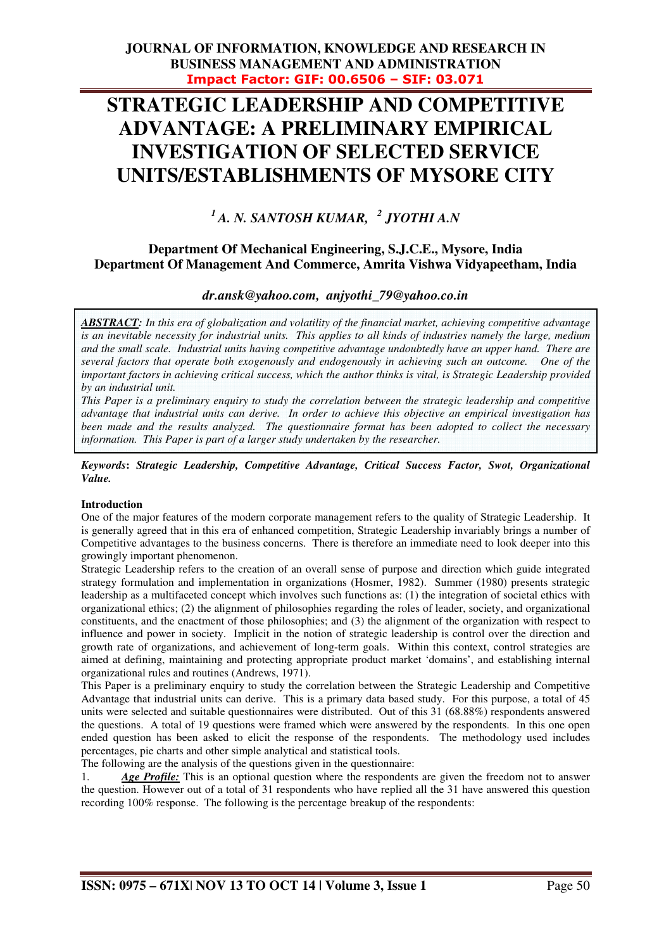# **STRATEGIC LEADERSHIP AND COMPETITIVE ADVANTAGE: A PRELIMINARY EMPIRICAL INVESTIGATION OF SELECTED SERVICE UNITS/ESTABLISHMENTS OF MYSORE CITY**

*<sup>1</sup>A. N. SANTOSH KUMAR, <sup>2</sup> JYOTHI A.N* 

## **Department Of Mechanical Engineering, S.J.C.E., Mysore, India Department Of Management And Commerce, Amrita Vishwa Vidyapeetham, India**

## *dr.ansk@yahoo.com, anjyothi\_79@yahoo.co.in*

 *ABSTRACT: In this era of globalization and volatility of the financial market, achieving competitive advantage is an inevitable necessity for industrial units. This applies to all kinds of industries namely the large, medium and the small scale. Industrial units having competitive advantage undoubtedly have an upper hand. There are several factors that operate both exogenously and endogenously in achieving such an outcome. One of the important factors in achieving critical success, which the author thinks is vital, is Strategic Leadership provided by an industrial unit.* 

*This Paper is a preliminary enquiry to study the correlation between the strategic leadership and competitive advantage that industrial units can derive. In order to achieve this objective an empirical investigation has been made and the results analyzed. The questionnaire format has been adopted to collect the necessary information. This Paper is part of a larger study undertaken by the researcher.* 

*Keywords***:** *Strategic Leadership, Competitive Advantage, Critical Success Factor, Swot, Organizational Value.* 

## **Introduction**

One of the major features of the modern corporate management refers to the quality of Strategic Leadership. It is generally agreed that in this era of enhanced competition, Strategic Leadership invariably brings a number of Competitive advantages to the business concerns. There is therefore an immediate need to look deeper into this growingly important phenomenon.

Strategic Leadership refers to the creation of an overall sense of purpose and direction which guide integrated strategy formulation and implementation in organizations (Hosmer, 1982). Summer (1980) presents strategic leadership as a multifaceted concept which involves such functions as: (1) the integration of societal ethics with organizational ethics; (2) the alignment of philosophies regarding the roles of leader, society, and organizational constituents, and the enactment of those philosophies; and (3) the alignment of the organization with respect to influence and power in society. Implicit in the notion of strategic leadership is control over the direction and growth rate of organizations, and achievement of long-term goals. Within this context, control strategies are aimed at defining, maintaining and protecting appropriate product market 'domains', and establishing internal organizational rules and routines (Andrews, 1971).

This Paper is a preliminary enquiry to study the correlation between the Strategic Leadership and Competitive Advantage that industrial units can derive. This is a primary data based study. For this purpose, a total of 45 units were selected and suitable questionnaires were distributed. Out of this 31 (68.88%) respondents answered the questions. A total of 19 questions were framed which were answered by the respondents. In this one open ended question has been asked to elicit the response of the respondents. The methodology used includes percentages, pie charts and other simple analytical and statistical tools.

The following are the analysis of the questions given in the questionnaire:

1. *Age Profile:* This is an optional question where the respondents are given the freedom not to answer the question. However out of a total of 31 respondents who have replied all the 31 have answered this question recording 100% response. The following is the percentage breakup of the respondents: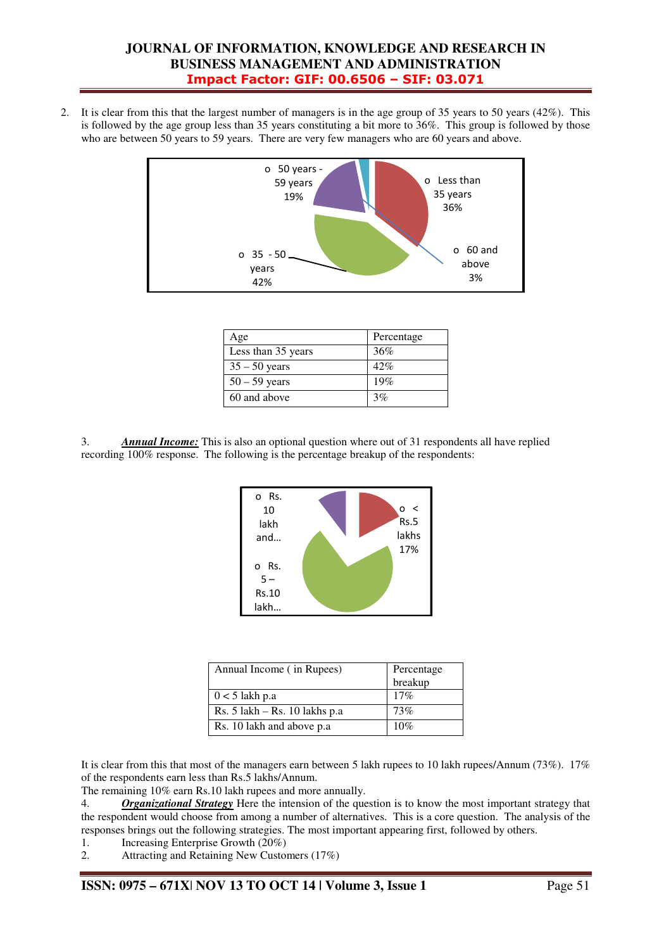2. It is clear from this that the largest number of managers is in the age group of 35 years to 50 years (42%). This is followed by the age group less than 35 years constituting a bit more to 36%. This group is followed by those who are between 50 years to 59 years. There are very few managers who are 60 years and above.



| Age                | Percentage |
|--------------------|------------|
| Less than 35 years | 36%        |
| $35 - 50$ years    | 42%        |
| $50 - 59$ years    | 19%        |
| 60 and above       | 3%         |

3. *Annual Income:* This is also an optional question where out of 31 respondents all have replied recording 100% response. The following is the percentage breakup of the respondents:



| Annual Income (in Rupees)         | Percentage<br>breakup |
|-----------------------------------|-----------------------|
| $0 < 5$ lakh p.a                  | 17%                   |
| Rs. $5$ lakh $-$ Rs. 10 lakhs p.a | 73%                   |
| Rs. 10 lakh and above p.a.        | 10%                   |

It is clear from this that most of the managers earn between 5 lakh rupees to 10 lakh rupees/Annum (73%). 17% of the respondents earn less than Rs.5 lakhs/Annum.

The remaining 10% earn Rs.10 lakh rupees and more annually.

4. *Organizational Strategy* Here the intension of the question is to know the most important strategy that the respondent would choose from among a number of alternatives. This is a core question. The analysis of the responses brings out the following strategies. The most important appearing first, followed by others.

- 1. Increasing Enterprise Growth (20%)
- 2. Attracting and Retaining New Customers (17%)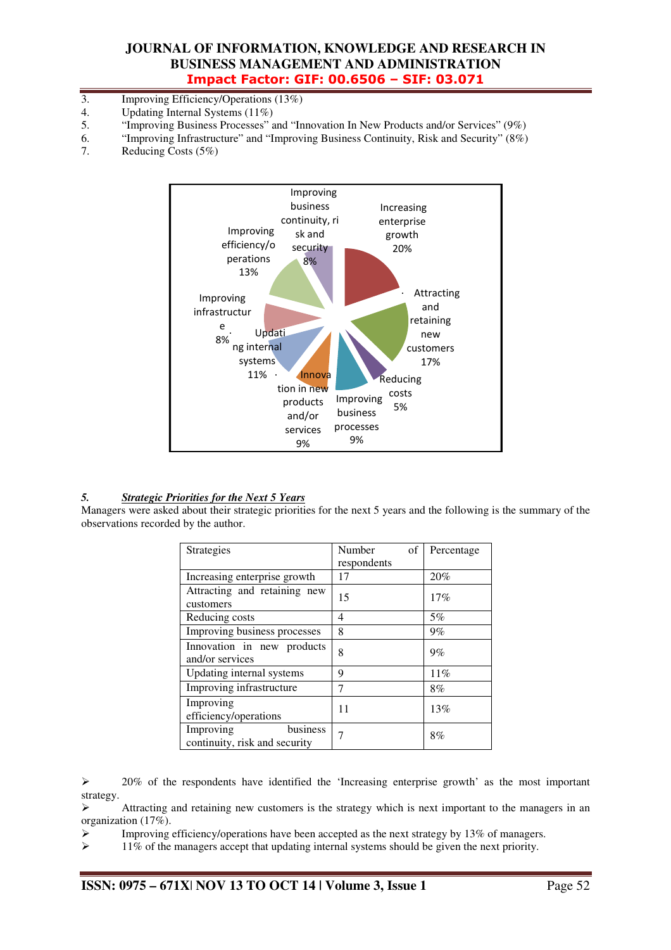- 3. Improving Efficiency/Operations (13%)<br>4. Updating Internal Systems (11%)
- Updating Internal Systems (11%)
- 5. "Improving Business Processes" and "Innovation In New Products and/or Services" (9%)
- 6. "Improving Infrastructure" and "Improving Business Continuity, Risk and Security" (8%)
- 7. Reducing Costs (5%)



#### *5. Strategic Priorities for the Next 5 Years*

Managers were asked about their strategic priorities for the next 5 years and the following is the summary of the observations recorded by the author.

| Strategies                                             | Number<br>of | Percentage |
|--------------------------------------------------------|--------------|------------|
|                                                        | respondents  |            |
| Increasing enterprise growth                           | 17           | 20%        |
| Attracting and retaining new<br>customers              | 15           | 17%        |
|                                                        |              |            |
| Reducing costs                                         | 4            | 5%         |
| Improving business processes                           | 8            | 9%         |
| Innovation in new products<br>and/or services          | 8            | 9%         |
| Updating internal systems                              | 9            | 11%        |
| Improving infrastructure                               | 7            | 8%         |
| Improving<br>efficiency/operations                     | 11           | 13%        |
| business<br>Improving<br>continuity, risk and security |              | 8%         |

 $\geq$  20% of the respondents have identified the 'Increasing enterprise growth' as the most important strategy.

 $\triangleright$  Attracting and retaining new customers is the strategy which is next important to the managers in an organization (17%).

Improving efficiency/operations have been accepted as the next strategy by 13% of managers.<br> $\geq 11\%$  of the managers accept that undating internal systems should be given the next priority

11% of the managers accept that updating internal systems should be given the next priority.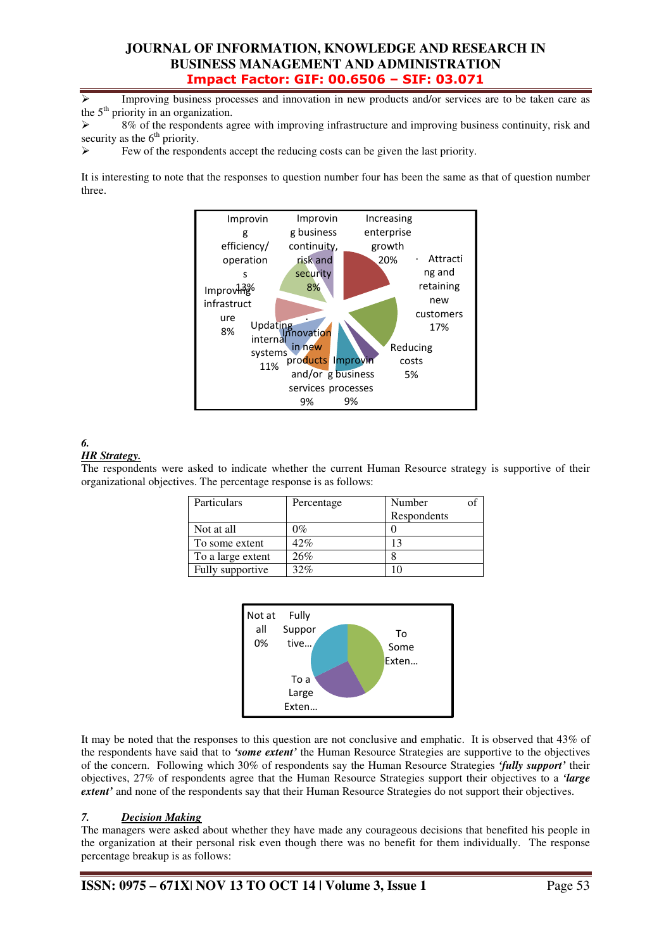Improving business processes and innovation in new products and/or services are to be taken care as the  $5<sup>th</sup>$  priority in an organization.

 8% of the respondents agree with improving infrastructure and improving business continuity, risk and security as the 6<sup>th</sup> priority.

Few of the respondents accept the reducing costs can be given the last priority.

It is interesting to note that the responses to question number four has been the same as that of question number three.



#### *6. HR Strategy.*

The respondents were asked to indicate whether the current Human Resource strategy is supportive of their organizational objectives. The percentage response is as follows:

| Particulars       | Percentage | Number      |
|-------------------|------------|-------------|
|                   |            | Respondents |
| Not at all        | $0\%$      |             |
| To some extent    | 42%        |             |
| To a large extent | 26%        |             |
| Fully supportive  | 32%        |             |



It may be noted that the responses to this question are not conclusive and emphatic. It is observed that 43% of the respondents have said that to *'some extent'* the Human Resource Strategies are supportive to the objectives of the concern. Following which 30% of respondents say the Human Resource Strategies *'fully support'* their objectives, 27% of respondents agree that the Human Resource Strategies support their objectives to a *'large extent'* and none of the respondents say that their Human Resource Strategies do not support their objectives.

## *7. Decision Making*

The managers were asked about whether they have made any courageous decisions that benefited his people in the organization at their personal risk even though there was no benefit for them individually. The response percentage breakup is as follows: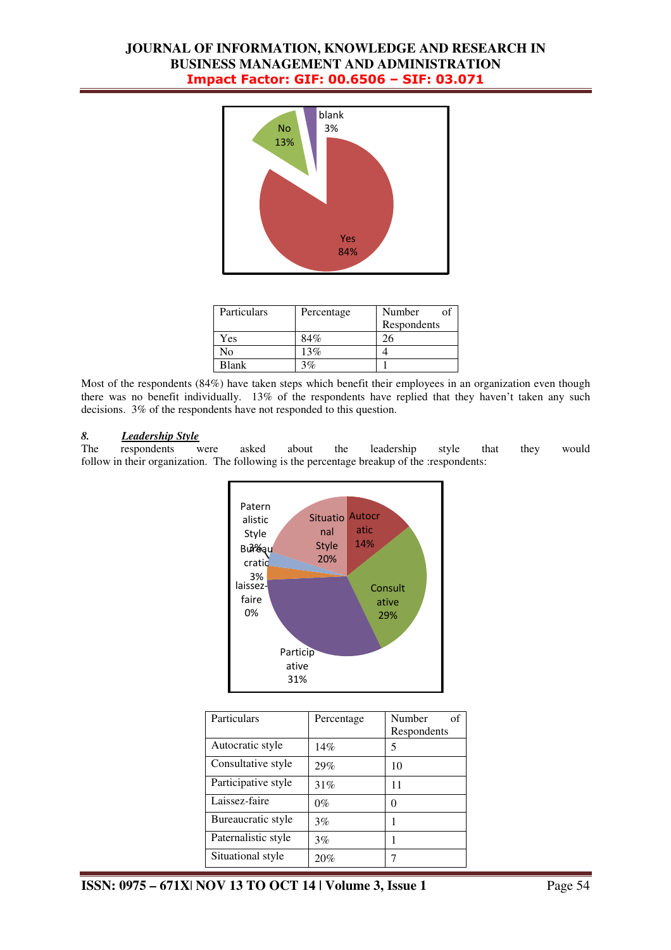

| Particulars | Percentage | Number<br>Ωť |
|-------------|------------|--------------|
|             |            | Respondents  |
| Yes         | 84%        |              |
| Ñо          | 13%        |              |
| Blank       | $3\%$      |              |

Most of the respondents (84%) have taken steps which benefit their employees in an organization even though there was no benefit individually. 13% of the respondents have replied that they haven't taken any such decisions. 3% of the respondents have not responded to this question.

#### *8. Leadership Style*

The respondents were asked about the leadership style that they would follow in their organization. The following is the percentage breakup of the :respondents:



| Particulars         | Percentage | Number<br>of<br>Respondents |
|---------------------|------------|-----------------------------|
| Autocratic style    | 14%        | 5                           |
| Consultative style  | 29%        | 10                          |
| Participative style | 31%        | 11                          |
| Laissez-faire       | $0\%$      |                             |
| Bureaucratic style  | 3%         |                             |
| Paternalistic style | 3%         |                             |
| Situational style   | 20%        |                             |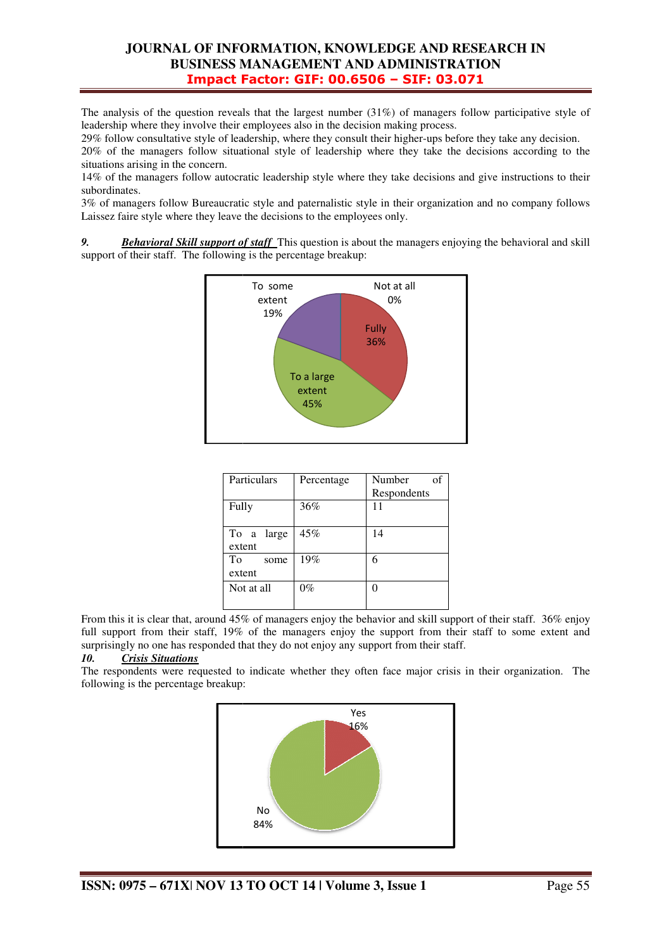The analysis of the question reveals that the largest number  $(31%)$  of managers follow participative style of leadership where they involve their employees also in the decision making process.

29% follow consultative style of leadership, where they consult their higher-ups before they take any decision.

20% of the managers follow situational style of leadership where they take the decisions according to the situations arising in the concern. 29% follow consultative style of leadership, where they consult their higher-ups before they take any decision.<br>20% of the managers follow situational style of leadership where they take the decisions according to the situ

subordinates.

3% of managers follow Bureaucratic style and paternalistic style in their organization and no company follows Laissez faire style where they leave the decisions to the employees only.

**9.** *Behavioral Skill support of staff* This question is about the managers enjoying the behavioral and skill support of their staff. The following is the percentage breakup:



| Particulars          | Percentage | Number<br>of<br>Respondents |
|----------------------|------------|-----------------------------|
| Fully                | 36%        | 11                          |
| To a large<br>extent | 45%        | 14                          |
| To<br>some<br>extent | 19%        | 6                           |
| Not at all           | $0\%$      |                             |

From this it is clear that, around 45% of managers enjoy the behavior and skill support of their staff. 36% enjoy full support from their staff, 19% of the managers enjoy the support from their staff to some extent and surprisingly no one has responded that they do not enjoy any support from their staff.

## *10. Crisis Situations*

The respondents were requested to indicate whether they often face major crisis in their organization. The following is the percentage breakup:

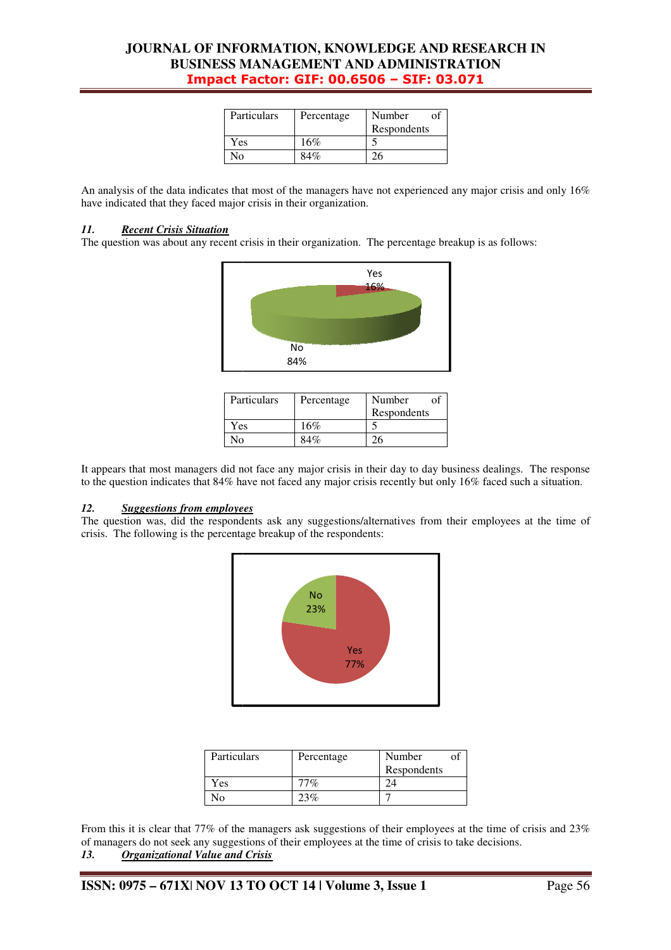| Particulars | Percentage | Number      |
|-------------|------------|-------------|
|             |            | Respondents |
| Yes         | 16%        |             |
| Nο          | 84%        |             |

An analysis of the data indicates that most of the managers have not experienced any major crisis and only  $16\%$ have indicated that they faced major crisis in their organization.

#### *11. Recent Crisis Situation*

The question was about any recent crisis in their organization. The percentage breakup is as follows:



| Particulars | Percentage | Number<br>Respondents |
|-------------|------------|-----------------------|
| Yes         | 16%        |                       |
| N٥          | 84%        |                       |

It appears that most managers did not face any major crisis in their day to day business dealings. The response to the question indicates that 84% have not faced any major crisis recently but only 16% faced such a situation.

#### *12. Suggestions from employees*

The question was, did the respondents ask any suggestions/alternatives from their employees at the time of crisis. The following is the percentage breakup of the respondents:



| Particulars | Percentage | Number      |  |
|-------------|------------|-------------|--|
|             |            | Respondents |  |
| Yes         | $77\%$     |             |  |
| No.         | 23%        |             |  |

From this it is clear that 77% of the managers ask suggestions of their employees at the time of crisis and 23% of managers do not seek any suggestions of their employees at the time of crisis to take decisions. *13. Organizational Value and Crisis*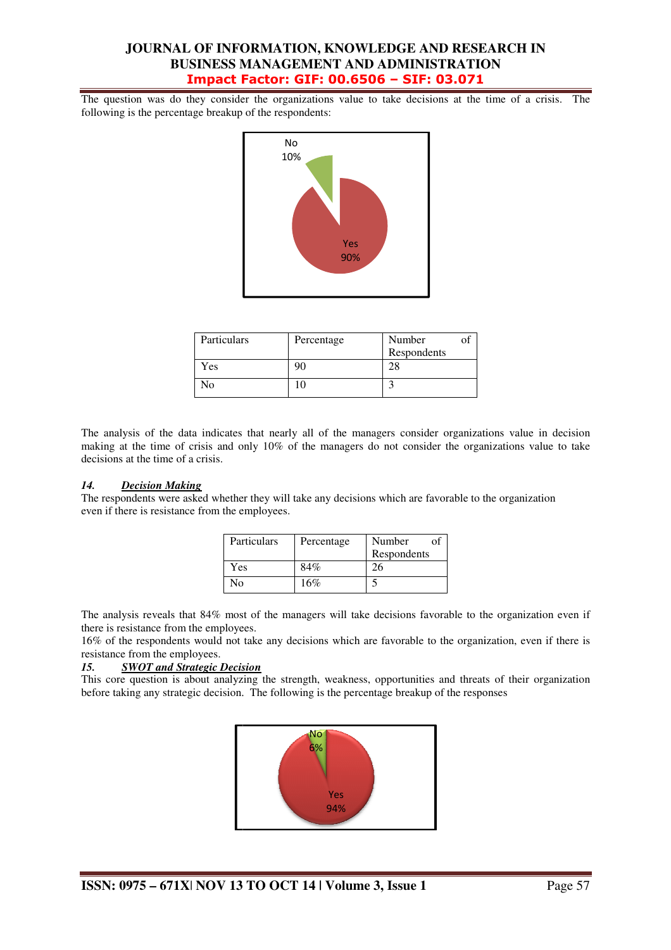The question was do they consider the organizations value to take decisions at the time of a crisis. The following is the percentage breakup of the respondents:



| Particulars | Percentage | Number      |
|-------------|------------|-------------|
| Yes         | 90         | Respondents |
| Nο          | 10         |             |

The analysis of the data indicates that nearly all of the managers consider organizations value in decision making at the time of crisis and only 10% of the managers do not consider the organizations value to take decisions at the time of a crisis.

#### *14. Decision Making*

The respondents were asked whether they will take any decisions which are favorable to the organization even if there is resistance from the employees.

| Particulars | Percentage | Number            |
|-------------|------------|-------------------|
| Yes         | 84%        | Respondents<br>26 |
| N٥          | 16%        |                   |

The analysis reveals that 84% most of the managers will take decisions favorable to the organization even if there is resistance from the employees.

16% of the respondents would not take any decisions which are favorable to the organization, even if there is resistance from the employees.

#### *15. SWOT and Strategic Decision*

This core question is about analyzing the strength, weakness, opportunities and threats of their organization before taking any strategic decision. The following is the percentage breakup of the responses

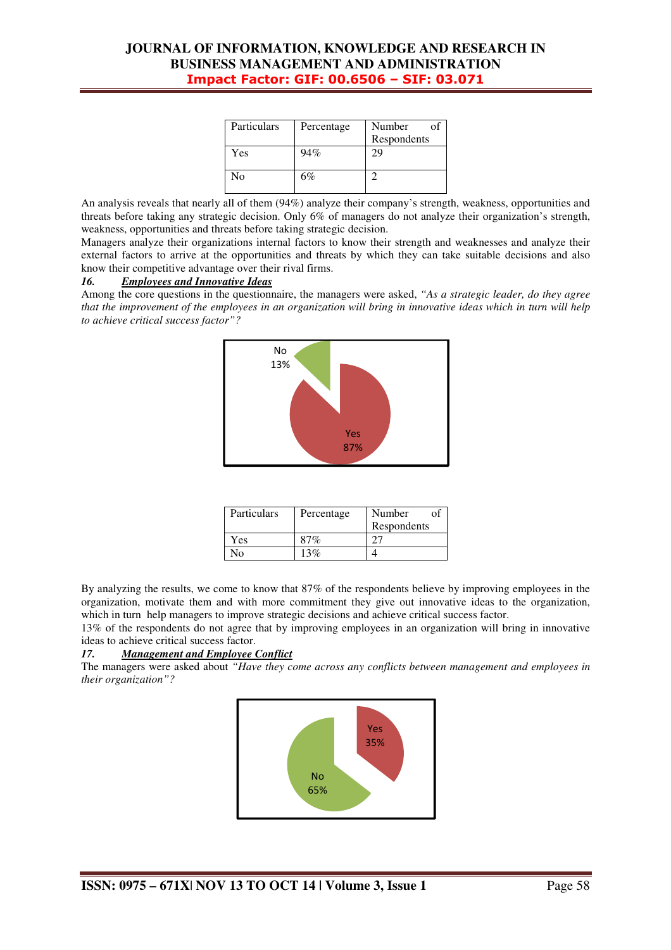| Particulars | Percentage | Number<br>Respondents |
|-------------|------------|-----------------------|
| Yes         | 94%        | Σg                    |
| No          | 6%         |                       |

An analysis reveals that nearly all of them (94%) analyze their company's strength, weakness, opportunities and threats before taking any strategic decision. Only 6% of managers do not analyze their organization's strength, weakness, opportunities and threats before taking strategic decision.

Managers analyze their organizations internal factors to know their strength and weaknesses and analyze their external factors to arrive at the opportunities and threats by which they can take suitable decisions and also know their competitive advantage over their rival firms.

#### *16. Employees and Innovative Ideas*

Among the core questions in the questionnaire, the managers were asked, *"As a strategic leader, do they agree that the improvement of the employees in an organization will bring in innovative ideas which in turn will help to achieve critical success factor"?* 



| Particulars | Percentage | Number<br>Ωt |
|-------------|------------|--------------|
|             |            | Respondents  |
| Yes         | 87%        |              |
| √∩          | $13\%$     |              |

By analyzing the results, we come to know that 87% of the respondents believe by improving employees in the organization, motivate them and with more commitment they give out innovative ideas to the organization, which in turn help managers to improve strategic decisions and achieve critical success factor.

13% of the respondents do not agree that by improving employees in an organization will bring in innovative ideas to achieve critical success factor.

#### *17. Management and Employee Conflict*

The managers were asked about *"Have they come across any conflicts between management and employees in their organization"?* 

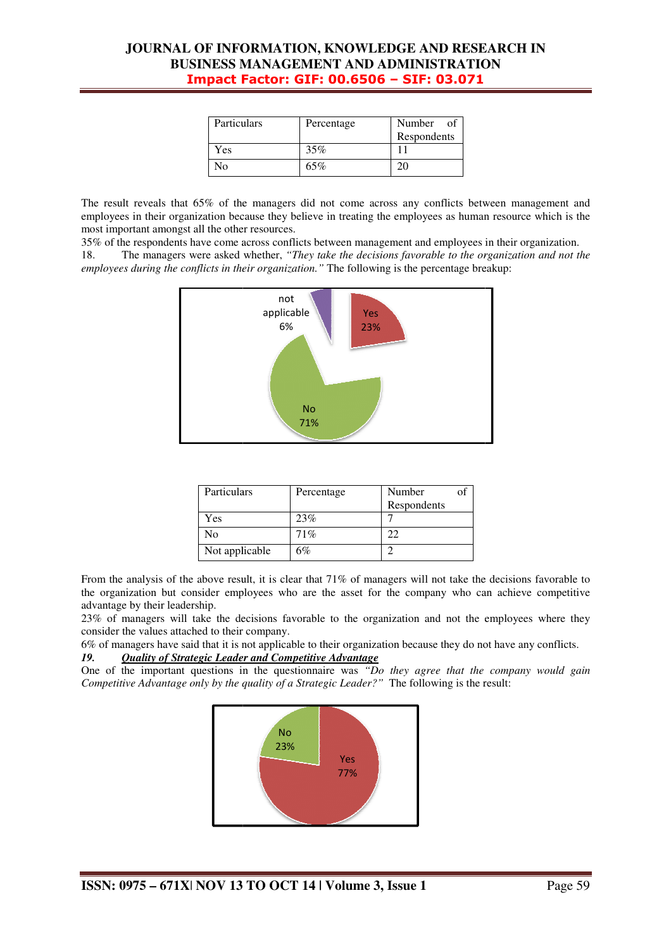| Particulars | Percentage | Number of<br>Respondents |
|-------------|------------|--------------------------|
| Yes         | 35%        |                          |
| No          | 65%        |                          |

The result reveals that  $65\%$  of the managers did not come across any conflicts between management and employees in their organization because they believe in treating the employees as human resource which is the most important amongst all the other resources.

35% of the respondents have come across conflicts between management and employees in their organization.

18. The managers were asked whether, *"They take the decisions favorable to the organization and not the*  employees during the conflicts in their organization." The following is the percentage breakup:



| Particulars    | Percentage | Number      |
|----------------|------------|-------------|
|                |            | Respondents |
| Yes            | 23%        |             |
| No             | 71%        |             |
| Not applicable | 6%         |             |

From the analysis of the above result, it is clear that 71% of managers will not take the decisions favorable to the organization but consider employees who are the asset for the company who can achieve competitive advantage by their leadership.

23% of managers will take the decisions favorable to the organization and not the employees where they consider the values attached to their company.

6% of managers have said that it is not applicable to their organization because they do not have any conflicts.

#### *19. Quality of Strategic Leader and Competitive Advantage*

One of the important questions in the questionnaire was "*Do they agree that the company would gain Competitive Advantage only by the quality of a Strategic Leader?"* The following is the result: